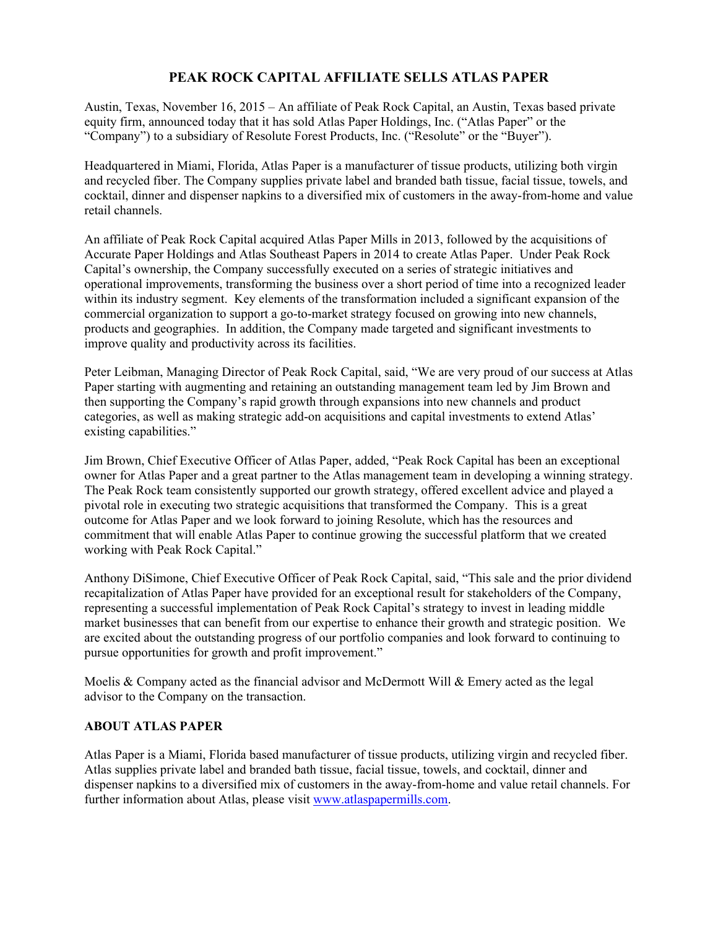## **PEAK ROCK CAPITAL AFFILIATE SELLS ATLAS PAPER**

Austin, Texas, November 16, 2015 – An affiliate of Peak Rock Capital, an Austin, Texas based private equity firm, announced today that it has sold Atlas Paper Holdings, Inc. ("Atlas Paper" or the "Company") to a subsidiary of Resolute Forest Products, Inc. ("Resolute" or the "Buyer").

Headquartered in Miami, Florida, Atlas Paper is a manufacturer of tissue products, utilizing both virgin and recycled fiber. The Company supplies private label and branded bath tissue, facial tissue, towels, and cocktail, dinner and dispenser napkins to a diversified mix of customers in the away-from-home and value retail channels.

An affiliate of Peak Rock Capital acquired Atlas Paper Mills in 2013, followed by the acquisitions of Accurate Paper Holdings and Atlas Southeast Papers in 2014 to create Atlas Paper. Under Peak Rock Capital's ownership, the Company successfully executed on a series of strategic initiatives and operational improvements, transforming the business over a short period of time into a recognized leader within its industry segment. Key elements of the transformation included a significant expansion of the commercial organization to support a go-to-market strategy focused on growing into new channels, products and geographies. In addition, the Company made targeted and significant investments to improve quality and productivity across its facilities.

Peter Leibman, Managing Director of Peak Rock Capital, said, "We are very proud of our success at Atlas Paper starting with augmenting and retaining an outstanding management team led by Jim Brown and then supporting the Company's rapid growth through expansions into new channels and product categories, as well as making strategic add-on acquisitions and capital investments to extend Atlas' existing capabilities."

Jim Brown, Chief Executive Officer of Atlas Paper, added, "Peak Rock Capital has been an exceptional owner for Atlas Paper and a great partner to the Atlas management team in developing a winning strategy. The Peak Rock team consistently supported our growth strategy, offered excellent advice and played a pivotal role in executing two strategic acquisitions that transformed the Company. This is a great outcome for Atlas Paper and we look forward to joining Resolute, which has the resources and commitment that will enable Atlas Paper to continue growing the successful platform that we created working with Peak Rock Capital."

Anthony DiSimone, Chief Executive Officer of Peak Rock Capital, said, "This sale and the prior dividend recapitalization of Atlas Paper have provided for an exceptional result for stakeholders of the Company, representing a successful implementation of Peak Rock Capital's strategy to invest in leading middle market businesses that can benefit from our expertise to enhance their growth and strategic position. We are excited about the outstanding progress of our portfolio companies and look forward to continuing to pursue opportunities for growth and profit improvement."

Moelis & Company acted as the financial advisor and McDermott Will  $\&$  Emery acted as the legal advisor to the Company on the transaction.

## **ABOUT ATLAS PAPER**

Atlas Paper is a Miami, Florida based manufacturer of tissue products, utilizing virgin and recycled fiber. Atlas supplies private label and branded bath tissue, facial tissue, towels, and cocktail, dinner and dispenser napkins to a diversified mix of customers in the away-from-home and value retail channels. For further information about Atlas, please visit www.atlaspapermills.com.